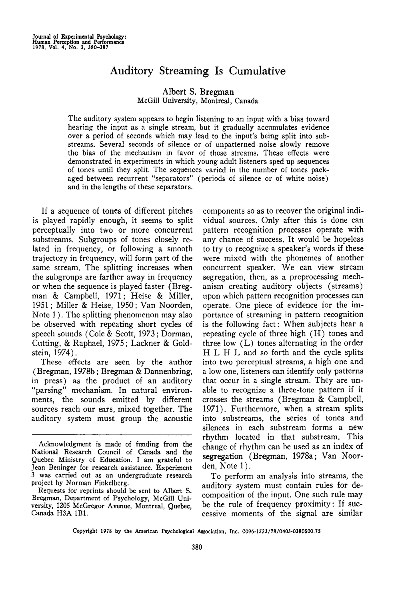# Auditory Streaming Is Cumulative

### Albert S. Bregman McGill University, Montreal, Canada

The auditory system appears to begin listening to an input with a bias toward hearing the input as a single stream, but it gradually accumulates evidence over a period of seconds which may lead to the input's being split into substreams. Several seconds of silence or of unpatterned noise slowly remove the bias of the mechanism in favor of these streams. These effects were demonstrated in experiments in which young adult listeners sped up sequences of tones until they split. The sequences varied in the number of tones packaged between recurrent "separators" (periods of silence or of white noise) and in the lengths of these separators.

If a sequence of tones of different pitches is played rapidly enough, it seems to split perceptually into two or more concurrent substreams. Subgroups of tones closely related in frequency, or following a smooth trajectory in frequency, will form part of the same stream. The splitting increases when the subgroups are farther away in frequency or when the sequence is played faster (Bregman & Campbell, 1971; Heise & Miller, 1951; Miller & Heise, 1950; Van Noorden, Note 1). The splitting phenomenon may also be observed with repeating short cycles of speech sounds (Cole & Scott, 1973; Dorman, Cutting, & Raphael, 1975; Lackner & Goldstein, 1974).

These effects are seen by the author (Bregman, 1978b; Bregman & Dannenbring, in press) as the product of an auditory "parsing" mechanism. In natural environments, the sounds emitted by different sources reach our ears, mixed together. The auditory system must group the acoustic components so as to recover the original individual sources. Only after this is done can pattern recognition processes operate with any chance of success. It would be hopeless to try to recognize a speaker's words if these were mixed with the phonemes of another concurrent speaker. We can view stream segregation, then, as a preprocessing mechanism creating auditory objects (streams) upon which pattern recognition processes can operate. One piece of evidence for the importance of streaming in pattern recognition is the following fact: When subjects hear a repeating cycle of three high (H) tones and three low (L) tones alternating in the order H L H L and so forth and the cycle splits into two perceptual streams, a high one and a low one, listeners can identify only patterns that occur in a single stream. They are unable to recognize a three-tone pattern if it crosses the streams (Bregman & Campbell, 1971). Furthermore, when a stream splits into substreams, the series of tones and silences in each substream forms a new rhythm located in that substream. This change of rhythm can be used as an index of segregation (Bregman, 1978a; Van Noorden, Note 1).

To perform an analysis into streams, the auditory system must contain rules for decomposition of the input. One such rule may be the rule of frequency proximity: If successive moments of the signal are similar

**Copyright 1978 by the American Psychological Association, Inc. 0096-1523/78/0403-0380\$00.75**

Acknowledgment is made of funding from the National Research Council of Canada and the Quebec Ministry of Education. I am grateful to Jean Beninger for research assistance. Experiment 3 was carried out as an undergraduate research project by Norman Finkelberg.

Requests for reprints should be sent to Albert S. Bregman, Department of Psychology, McGill University, 1205 McGregor Avenue, Montreal, Quebec, Canada H3A 1B1.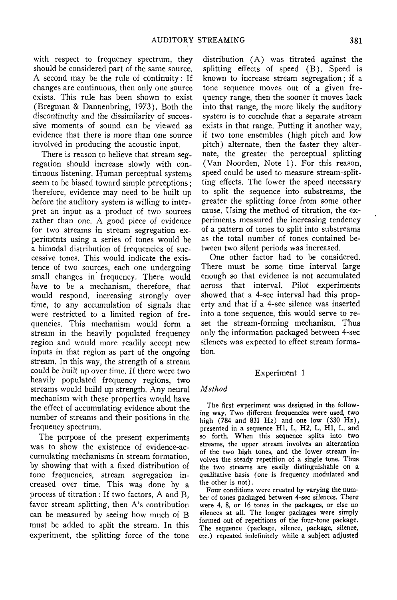with respect to frequency spectrum, they should be considered part of the same source. A second may be the rule of continuity: If changes are continuous, then only one source exists. This rule has been shown to exist (Bregman & Dannenbring, 1973). Both the discontinuity and the dissimilarity of successive moments of sound can be viewed as evidence that there is more than one source involved in producing the acoustic input.

There is reason to believe that stream segregation should increase slowly with continuous listening. Human perceptual systems seem to be biased toward simple perceptions; therefore, evidence may need to be built up before the auditory system is willing to interpret an input as a product of two sources rather than one. A good piece of evidence for two streams in stream segregation experiments using a series of tones would be a bimodal distribution of frequencies of successive tones. This would indicate the existence of two sources, each one undergoing small changes in frequency. There would have to be a mechanism, therefore, that would respond, increasing strongly over time, to any accumulation of signals that were restricted to a limited region of frequencies. This mechanism would form a stream in the heavily populated frequency region and would more readily accept new inputs in that region as part of the ongoing stream. In this way, the strength of a stream could be built up over time. If there were two heavily populated frequency regions, two streams would build up strength. Any neural mechanism with these properties would have the effect of accumulating evidence about the number of streams and their positions in the frequency spectrum.

The purpose of the present experiments was to show the existence of evidence-accumulating mechanisms in stream formation, by showing that with a fixed distribution of tone frequencies, stream segregation increased over time. This was done by a process of titration: If two factors, A and B, favor stream splitting, then A's contribution can be measured by seeing how much of B must be added to split the stream. In this experiment, the splitting force of the tone

distribution (A) was titrated against the splitting effects of speed (B). Speed is known to increase stream segregation; if a tone sequence moves out of a given frequency range, then the sooner it moves back into that range, the more likely the auditory system is to conclude that a separate stream exists in that range. Putting it another way, if two tone ensembles (high pitch and low pitch) alternate, then the faster they alternate, the greater the perceptual splitting (Van Noorden, Note 1). For this reason, speed could be used to measure stream-splitting effects. The lower the speed necessary to split the sequence into substreams, the greater the splitting force from some other cause. Using the method of titration, the experiments measured the increasing tendency of a pattern of tones to split into substreams as the total number of tones contained between two silent periods was increased.

One other factor had to be considered. There must be some time interval large enough so that evidence is not accumulated across that interval. Pilot experiments showed that a 4-sec interval had this property and that if a 4-sec silence was inserted into a tone sequence, this would serve to reset the stream-forming mechanism. Thus only the information packaged between 4-sec silences was expected to effect stream formation.

# Experiment 1

# *Method*

The first experiment was designed in the following way. Two different frequencies were used, two high  $(784 \text{ and } 831 \text{ Hz})$  and one low  $(330 \text{ Hz})$ , presented in a sequence H1, L, H2, L, H1, L, and so forth. When this sequence splits into two streams, the upper stream involves an alternation of the two high tones, and the lower stream involves the steady repetition of a single tone. Thus the two streams are easily distinguishable on a qualitative basis (one is frequency modulated and the other is not).

Four conditions were created by varying the number of tones packaged between 4-sec silences. There were 4, 8, or 16 tones in the packages, or else no silences at all. The longer packages were simply formed out of repetitions of the four-tone package. The sequence (package, silence, package, silence, etc.) repeated indefinitely while a subject adjusted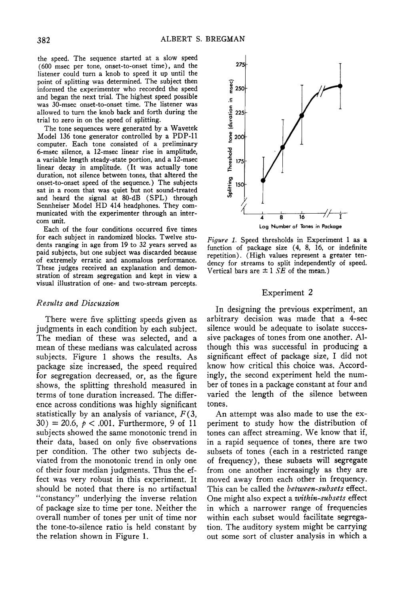the speed. The sequence started at a slow speed (600 msec per tone, onset-to-onset time), and the listener could turn a knob to speed it up until the point of splitting was determined. The subject then informed the experimenter who recorded the speed and began the next trial. The highest speed possible was 30-msec onset-to-onset time. The listener was allowed to turn the knob back and forth during the trial to zero in on the speed of splitting.

The tone sequences were generated by a Wavetek Model 136 tone generator controlled by a PDP-11 computer. Each tone consisted of a preliminary 6-msec silence, a 12-msec linear rise in amplitude, a variable length steady-state portion, and a 12-msec linear decay in amplitude. (It was actually tone duration, not silence between tones, that altered the onset-to-onset speed of the sequence.) The subjects sat in a room that was quiet but not sound-treated and heard the signal at 80-dB (SPL) through Sennheiser Model HD 414 headphones. They communicated with the experimenter through an intercom unit.

Each of the four conditions occurred five times for each subject in randomized blocks. Twelve students ranging in age from 19 to 32 years served as paid subjects, but one subject was discarded because of extremely erratic and anomalous performance. These judges received an explanation and demonstration of stream segregation and kept in view a visual illustration of one- and two-stream percepts.

# *Results and Discussion*

There were five splitting speeds given as judgments in each condition by each subject. The median of these was selected, and a mean of these medians was calculated across subjects. Figure 1 shows the results. As package size increased, the speed required for segregation decreased, or, as the figure shows, the splitting threshold measured in terms of tone duration increased. The difference across conditions was highly significant statistically by an analysis of variance,  $F(3)$ , 30) = 20.6, *p <* .001. Furthermore, 9 of 11 subjects showed the same monotonic trend in their data, based on only five observations per condition. The other two subjects deviated from the monotonic trend in only one of their four median judgments. Thus the effect was very robust in this experiment. It should be noted that there is no artifactual "constancy" underlying the inverse relation of package size to time per tone. Neither the overall number of tones per unit of time nor the tone-to-silence ratio is held constant by the relation shown in Figure 1.



*Figure 1.* Speed thresholds in Experiment 1 as a function of package size (4, 8, 16, or indefinite repetition). (High values represent a greater tendency for streams to split independently of speed. Vertical bars are  $\pm 1$  *SE* of the mean.)

#### Experiment 2

In designing the previous experiment, an arbitrary decision was made that a 4-sec silence would be adequate to isolate successive packages of tones from one another. Although this was successful in producing a significant effect of package size, I did not know how critical this choice was. Accordingly, the second experiment held the number of tones in a package constant at four and varied the length of the silence between tones.

An attempt was also made to use the experiment to study how the distribution of tones can affect streaming. We know that if, in a rapid sequence of tones, there are two subsets of tones (each in a restricted range of frequency), these subsets will segregate from one another increasingly as they are moved away from each other in frequency. This can be called the *between-subsets* effect. One might also expect a *within-subsets* effect in which a narrower range of frequencies within each subset would facilitate segregation. The auditory system might be carrying out some sort of cluster analysis in which a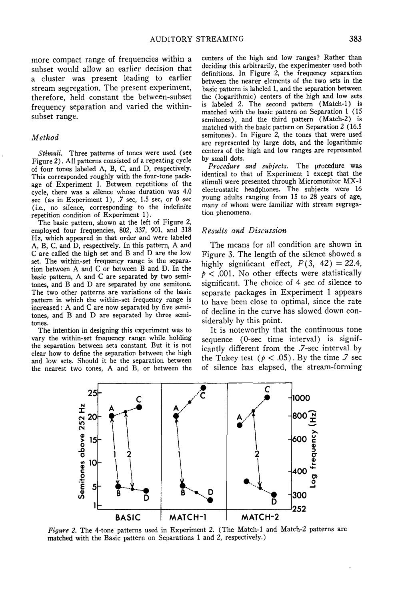more compact range of frequencies within a subset would allow an earlier decision that a cluster was present leading to earlier stream segregation. The present experiment, therefore, held constant the between-subset frequency separation and varied the withinsubset range.

#### *Method*

*Stimuli.* Three patterns of tones were used (see Figure 2). All patterns consisted of a repeating cycle of four tones labeled A, B, C, and D, respectively. This corresponded roughly with the four-tone package of Experiment 1. Between repetitions of the cycle, there was a silence whose duration was 4.0 sec (as in Experiment 1), .7 sec, 1.5 sec, or 0 sec (i.e., no silence, corresponding to the indefinite repetition condition of Experiment 1).

The basic pattern, shown at the left of Figure 2, employed four frequencies, 802, 337, 901, and 318 Hz, which appeared in that order and were labeled A, B, C, and D, respectively. In this pattern, A and C are called the high set and B and D are the low set. The within-set frequency range is the separation between A and C or between B and D. In the basic pattern, A and C are separated by two semitones, and B and D are separated by one semitone. The two other patterns are variations of the basic pattern in which the within-set frequency range is increased: A and C are now separated by five semitones, and B and D are separated by three semitones.

The intention in designing this experiment was to vary the within-set frequency range while holding the separation between sets constant. But it is not clear how to define the separation between the high and low sets. Should it be the separation between the nearest two tones, A and B, or between the centers of the high and low ranges? Rather than deciding this arbitrarily, the experimenter used both definitions. In Figure 2, the frequency separation between the nearer elements of the two sets in the basic pattern is labeled 1, and the separation between the (logarithmic) centers of the high and low sets is labeled 2. The second pattern (Match-1) is matched with the basic pattern on Separation 1 (15 semitones), and the third pattern (Match-2) is matched with the basic pattern on Separation 2 (16.S semitones). In Figure 2, the tones that were used are represented by large dots, and the logarithmic centers of the high and low ranges are represented by small dots.

*Procedure and subjects.* The procedure was identical to that of Experiment 1 except that the stimuli were presented through Micromonitor MX-1 electrostatic headphones. The subjects were 16 young adults ranging from IS to 28 years of age, many of whom were familiar with stream segregation phenomena.

#### *Results and Discussion*

The means for all condition are shown in Figure 3. The length of the silence showed a highly significant effect,  $F(3, 42) = 22.4$ , *p <* .001. No other effects were statistically significant. The choice of 4 sec of silence to separate packages in Experiment 1 appears to have been close to optimal, since the rate of decline in the curve has slowed down considerably by this point.

It is noteworthy that the continuous tone sequence (0-sec time interval) is significantly different from the .7-sec interval by the Tukey test  $(p < .05)$ . By the time .7 sec of silence has elapsed, the stream-forming



*Figure 2.* The 4-tone patterns used in Experiment 2. (The Match-1 and Match-2 patterns are matched with the Basic pattern on Separations 1 and 2, respectively.)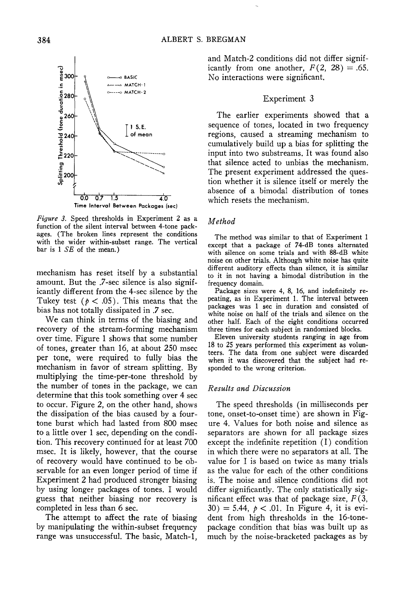

*Figure 3.* Speed thresholds in Experiment 2 as a function of the silent interval between 4-tone packages. (The broken lines represent the conditions with the wider within-subset range. The vertical bar is 1 *SE* of the mean.)

mechanism has reset itself by a substantial amount. But the .7-sec silence is also significantly different from the 4-sec silence by the Tukey test  $(p < .05)$ . This means that the bias has not totally dissipated in  $\mathcal{I}$  sec.

We can think in terms of the biasing and recovery of the stream-forming mechanism over time. Figure 1 shows that some number of tones, greater than 16, at about 250 msec per tone, were required to fully bias the mechanism in favor of stream splitting. By multiplying the time-per-tone threshold by the number of tones in the package, we can determine that this took something over 4 sec to occur. Figure 2, on the other hand, shows the dissipation of the bias caused by a fourtone burst which had lasted from 800 msec to a little over 1 sec, depending on the condition. This recovery continued for at least 700 msec. It is likely, however, that the course of recovery would have continued to be observable for an even longer period of time if Experiment 2 had produced stronger biasing by using longer packages of tones. I would guess that neither biasing nor recovery is completed in less than 6 sec.

The attempt to affect the rate of biasing by manipulating the within-subset frequency range was unsuccessful. The basic, Match-1, and Match-2 conditions did not differ significantly from one another,  $F(2, 28) = .65$ . No interactions were significant.

## Experiment 3

The earlier experiments showed that a sequence of tones, located in two frequency regions, caused a streaming mechanism to cumulatively build up a bias for splitting the input into two substreams. It was found also that silence acted to unbias the mechanism. The present experiment addressed the question whether it is silence itself or merely the absence of a bimodal distribution of tones which resets the mechanism.

## *Method*

The method was similar to that of Experiment 1 except that a package of 74-dB tones alternated with silence on some trials and with 88-dB white noise on other trials. Although white noise has quite different auditory effects than silence, it is similar to it in not having a bimodal distribution in the frequency domain.

Package sizes were 4, 8, 16, and indefinitely repeating, as in Experiment 1. The interval between packages was 1 sec in duration and consisted of white noise on half of the trials and silence on the other half. Each of the eight conditions occurred three times for each subject in randomized blocks.

Eleven university students ranging in age from 18 to 25 years performed this experiment as volunteers. The data from one subject were discarded when it was discovered that the subject had responded to the wrong criterion.

### *Results and Discussion*

The speed thresholds (in milliseconds per tone, onset-to-onset time) are shown in Figure 4. Values for both noise and silence as separators are shown for all package sizes except the indefinite repetition (I) condition in which there were no separators at all. The value for I is based on twice as many trials as the value for each of the other conditions is. The noise and silence conditions did not differ significantly. The only statistically significant effect was that of package size, *F(3,*  $30) = 5.44, p < .01$ . In Figure 4, it is evident from high thresholds in the 16-tonepackage condition that bias was built up as much by the noise-bracketed packages as by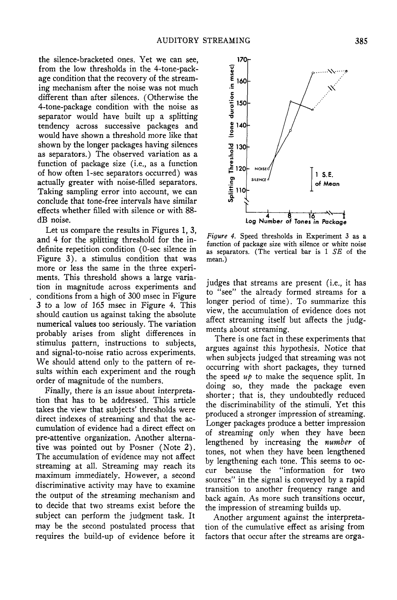the silence-bracketed ones. Yet we can see, from the low thresholds in the 4-tone-package condition that the recovery of the streaming mechanism after the noise was not much different than after silences. (Otherwise the 4-tone-package condition with the noise as separator would have built up a splitting tendency across successive packages and would have shown a threshold more like that shown by the longer packages having silences as separators.) The observed variation as a function of package size (i.e., as a function of how often 1-sec separators occurred) was actually greater with noise-filled separators. Taking sampling error into account, we can conclude that tone-free intervals have similar effects whether filled with silence or with 88 dB noise.

Let us compare the results in Figures 1, 3, and 4 for the splitting threshold for the indefinite repetition condition (0-sec silence in Figure 3). a stimulus condition that was more or less the same in the three experiments. This threshold shows a large variation in magnitude across experiments and conditions from a high of 300 msec in Figure 3 to a low of 165 msec in Figure 4. This should caution us against taking the absolute numerical values too seriously. The variation probably arises from slight differences in stimulus pattern, instructions to subjects, and signal-to-noise ratio across experiments. We should attend only to the pattern of results within each experiment and the rough order of magnitude of the numbers.

Finally, there is an issue about interpretation that has to be addressed. This article takes the view that subjects' thresholds were direct indexes of streaming and that the accumulation of evidence had a direct effect on pre-attentive organization. Another alternative was pointed out by Posner (Note 2). The accumulation of evidence may not affect streaming at all. Streaming may reach its maximum immediately. However, a second discriminative activity may have to examine the output of the streaming mechanism and to decide that two streams exist before the subject can perform the judgment task. It may be the second postulated process that requires the build-up of evidence before it



*Figure 4.* Speed thresholds in Experiment 3 as a function of package size with silence or white noise as separators. (The vertical bar is 1 *SE* of the mean.)

judges that streams are present (i.e., it has to "see" the already formed streams for a longer period of time). To summarize this view, the accumulation of evidence does not affect streaming itself but affects the judgments about streaming.

There is one fact in these experiments that argues against this hypothesis. Notice that when subjects judged that streaming was not occurring with short packages, they turned the speed *up* to make the sequence split. In doing so, they made the package even shorter; that is, they undoubtedly reduced the discriminability of the stimuli. Yet this produced a stronger impression of streaming. Longer packages produce a better impression of streaming only when they have been lengthened by increasing the *number* of tones, not when they have been lengthened by lengthening each tone. This seems to occur because the "information for two sources" in the signal is conveyed by a rapid transition to another frequency range and back again. As more such transitions occur, the impression of streaming builds up.

Another argument against the interpretation of the cumulative effect as arising from factors that occur after the streams are orga-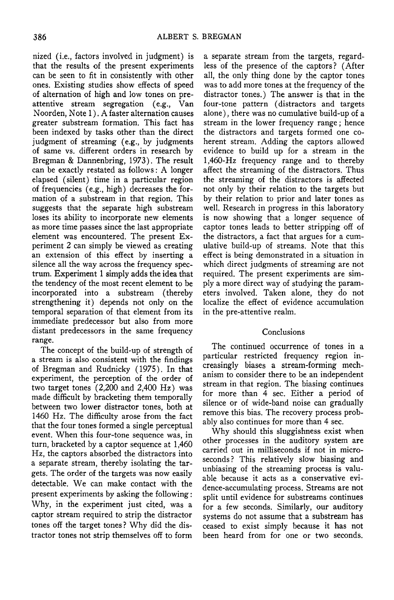nized (i.e., factors involved in judgment) is that the results of the present experiments can be seen to fit in consistently with other ones. Existing studies show effects of speed of alternation of high and low tones on preattentive stream segregation (e.g., Van Noorden, Note 1). A faster alternation causes greater substream formation. This fact has been indexed by tasks other than the direct judgment of streaming (e.g., by judgments of same vs. different orders in research by Bregman & Dannenbring, 1973). The result can be exactly restated as follows: A longer elapsed (silent) time in a particular region of frequencies (e.g., high) decreases the formation of a substream in that region. This suggests that the separate high substream loses its ability to incorporate new elements as more time passes since the last appropriate element was encountered. The present Experiment 2 can simply be viewed as creating an extension of this effect by inserting a silence all the way across the frequency spectrum. Experiment 1 simply adds the idea that the tendency of the most recent element to be incorporated into a substream (thereby strengthening it) depends not only on the temporal separation of that element from its immediate predecessor but also from more distant predecessors in the same frequency range.

The concept of the build-up of strength of a stream is also consistent with the findings of Bregman and Rudnicky (1975). In that experiment, the perception of the order of two target tones (2,200 and 2,400 Hz) was made difficult by bracketing them temporally between two lower distractor tones, both at 1460 Hz. The difficulty arose from the fact that the four tones formed a single perceptual event. When this four-tone sequence was, in turn, bracketed by a captor sequence at 1,460 Hz, the captors absorbed the distractors into a separate stream, thereby isolating the targets. The order of the targets was now easily detectable. We can make contact with the present experiments by asking the following: Why, in the experiment just cited, was a captor stream required to strip the distractor tones off the target tones ? Why did the distractor tones not strip themselves off to form

a separate stream from the targets, regardless of the presence of the captors? (After all, the only thing done by the captor tones was to add more tones at the frequency of the distractor tones.) The answer is that in the four-tone pattern (distractors and targets alone), there was no cumulative build-up of a stream in the lower frequency range; hence the distractors and targets formed one coherent stream. Adding the captors allowed evidence to build up for a stream in the 1,460-Hz frequency range and to thereby affect the streaming of the distractors. Thus the streaming of the distractors is affected not only by their relation to the targets but by their relation to prior and later tones as well. Research in progress in this laboratory is now showing that a longer sequence of captor tones leads to better stripping off of the distractors, a fact that argues for a cumulative build-up of streams. Note that this effect is being demonstrated in a situation in which direct judgments of streaming are not required. The present experiments are simply a more direct way of studying the parameters involved. Taken alone, they do not localize the effect of evidence accumulation in the pre-attentive realm.

# Conclusions

The continued occurrence of tones in a particular restricted frequency region increasingly biases a stream-forming mechanism to consider there to be an independent stream in that region. The biasing continues for more than 4 sec. Either a period of silence or of wide-band noise can gradually remove this bias. The recovery process probably also continues for more than 4 sec.

Why should this sluggishness exist when other processes in the auditory system are carried out in milliseconds if not in microseconds? This relatively slow biasing and unbiasing of the streaming process is valuable because it acts as a conservative evidence-accumulating process. Streams are not split until evidence for substreams continues for a few seconds. Similarly, our auditory systems do not assume that a substream has ceased to exist simply because it has not been heard from for one or two seconds.